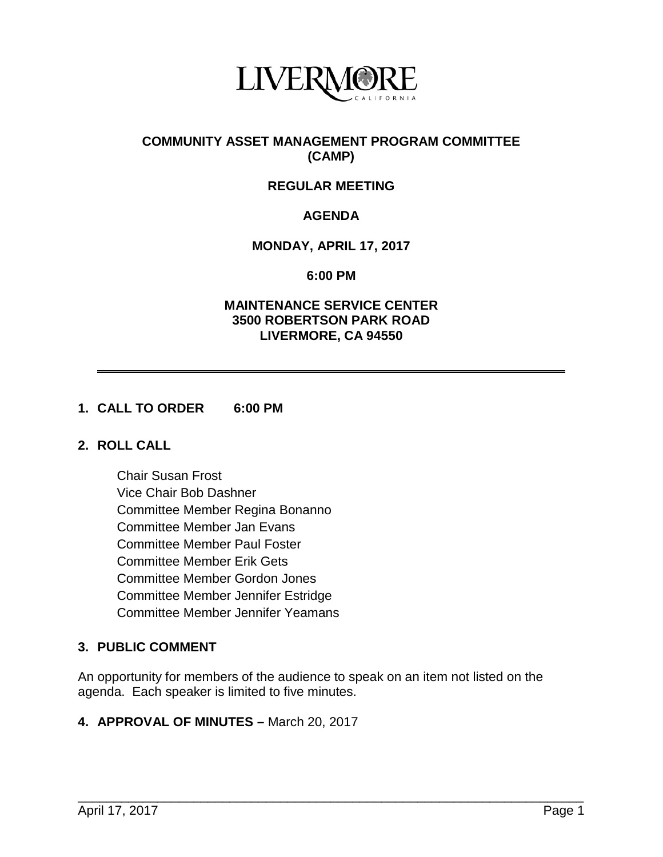

## **COMMUNITY ASSET MANAGEMENT PROGRAM COMMITTEE (CAMP)**

# **REGULAR MEETING**

# **AGENDA**

## **MONDAY, APRIL 17, 2017**

#### **6:00 PM**

## **MAINTENANCE SERVICE CENTER 3500 ROBERTSON PARK ROAD LIVERMORE, CA 94550**

## **1. CALL TO ORDER 6:00 PM**

#### **2. ROLL CALL**

Chair Susan Frost Vice Chair Bob Dashner Committee Member Regina Bonanno Committee Member Jan Evans Committee Member Paul Foster Committee Member Erik Gets Committee Member Gordon Jones Committee Member Jennifer Estridge Committee Member Jennifer Yeamans

# **3. PUBLIC COMMENT**

An opportunity for members of the audience to speak on an item not listed on the agenda. Each speaker is limited to five minutes.

#### **4. APPROVAL OF MINUTES –** March 20, 2017